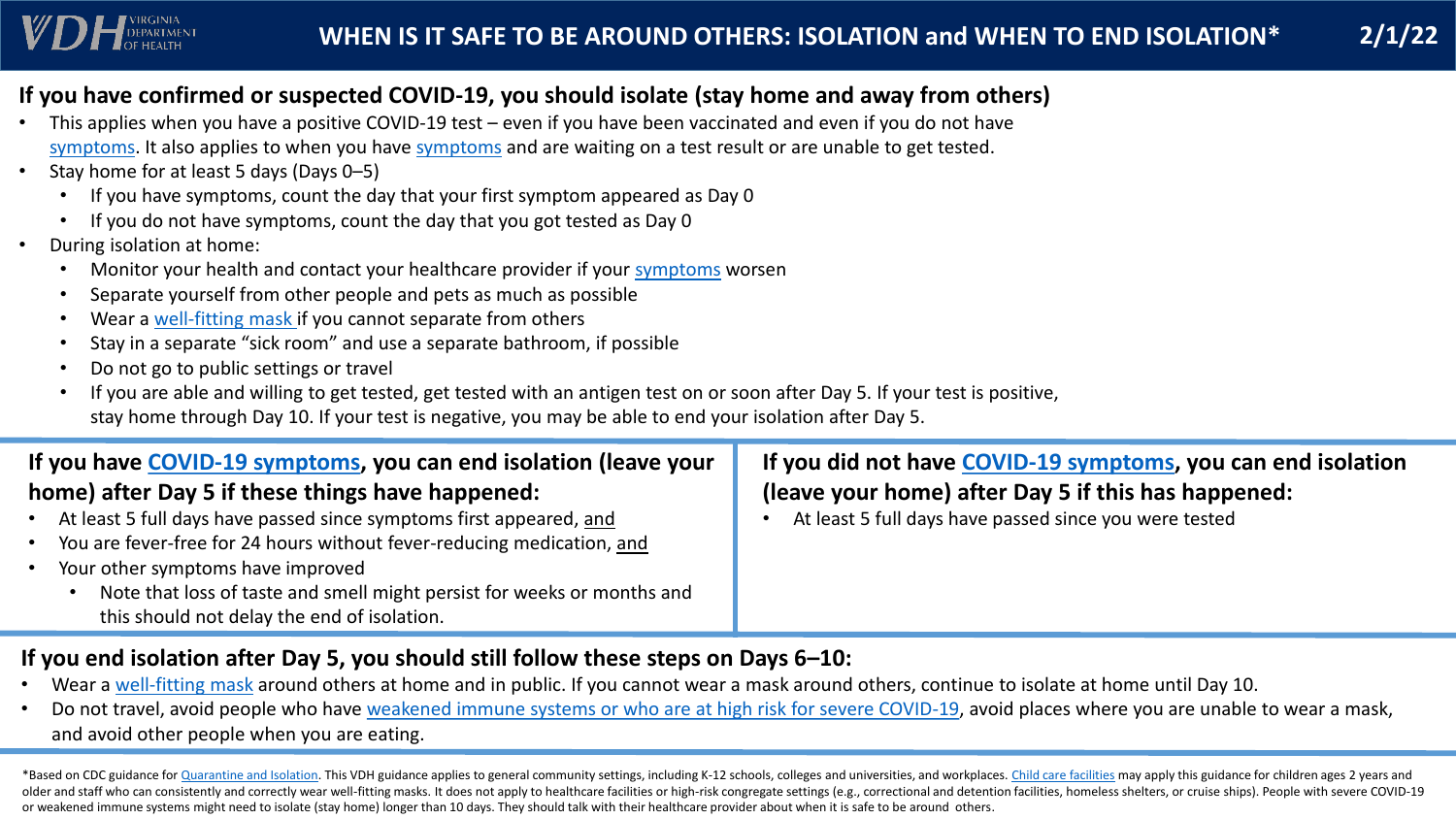\*Based on CDC guidance for [Quarantine and Isolation.](https://www.cdc.gov/coronavirus/2019-ncov/your-health/quarantine-isolation.html) This VDH guidance applies to general community settings, including K-12 schools, colleges and universities, and workplaces. [Child care facilities](https://www.vdh.virginia.gov/coronavirus/schools-workplaces-community-locations/child-care/) may apply this guidance older and staff who can consistently and correctly wear well-fitting masks. It does not apply to healthcare facilities or high-risk congregate settings (e.g., correctional and detention facilities, homeless shelters, or cr or weakened immune systems might need to isolate (stay home) longer than 10 days. They should talk with their healthcare provider about when it is safe to be around others.



## **DEPARTMEN**

### **If you have confirmed or suspected COVID-19, you should isolate (stay home and away from others)**

#### **If you have [COVID-19 symptoms,](https://www.cdc.gov/coronavirus/2019-ncov/symptoms-testing/symptoms.html) you can end isolation (leave your home) after Day 5 if these things have happened:** At least 5 full days have passed since symptoms first appeared, and You are fever-free for 24 hours without fever-reducing medication, and Your other symptoms have improved **If you did not have [COVID-19 symptoms,](https://www.cdc.gov/coronavirus/2019-ncov/symptoms-testing/symptoms.html) you can end isolation (leave your home) after Day 5 if this has happened:** At least 5 full days have passed since you were tested

- Wear a [well-fitting mask](https://www.cdc.gov/coronavirus/2019-ncov/your-health/effective-masks.html) around others at home and in public. If you cannot wear a mask around others, continue to isolate at home until Day 10.
- Do not travel, avoid people who have [weakened immune systems or who are at high risk for severe COVID-19,](https://www.cdc.gov/coronavirus/2019-ncov/need-extra-precautions/people-with-medical-conditions.html) avoid places where you are unable to wear a mask, and avoid other people when you are eating.
- This applies when you have a positive COVID-19 test even if you have been vaccinated and even if you do not have [symptoms](https://www.cdc.gov/coronavirus/2019-ncov/symptoms-testing/symptoms.html). It also applies to when you have symptoms and are waiting on a test result or are unable to get tested.
- Stay home for at least 5 days (Days 0–5)
	- If you have symptoms, count the day that your first symptom appeared as Day 0
	- If you do not have symptoms, count the day that you got tested as Day 0
- During isolation at home:
	- Monitor your health and contact your healthcare provider if your [symptoms](https://www.cdc.gov/coronavirus/2019-ncov/symptoms-testing/symptoms.html) worsen
	- Separate yourself from other people and pets as much as possible
	- Wear a [well-fitting mask](https://www.cdc.gov/coronavirus/2019-ncov/your-health/effective-masks.html) if you cannot separate from others
	- Stay in a separate "sick room" and use a separate bathroom, if possible
	- Do not go to public settings or travel
	- If you are able and willing to get tested, get tested with an antigen test on or soon after Day 5. If your test is positive, stay home through Day 10. If your test is negative, you may be able to end your isolation after Day 5.

• Note that loss of taste and smell might persist for weeks or months and this should not delay the end of isolation.

#### **If you end isolation after Day 5, you should still follow these steps on Days 6–10:**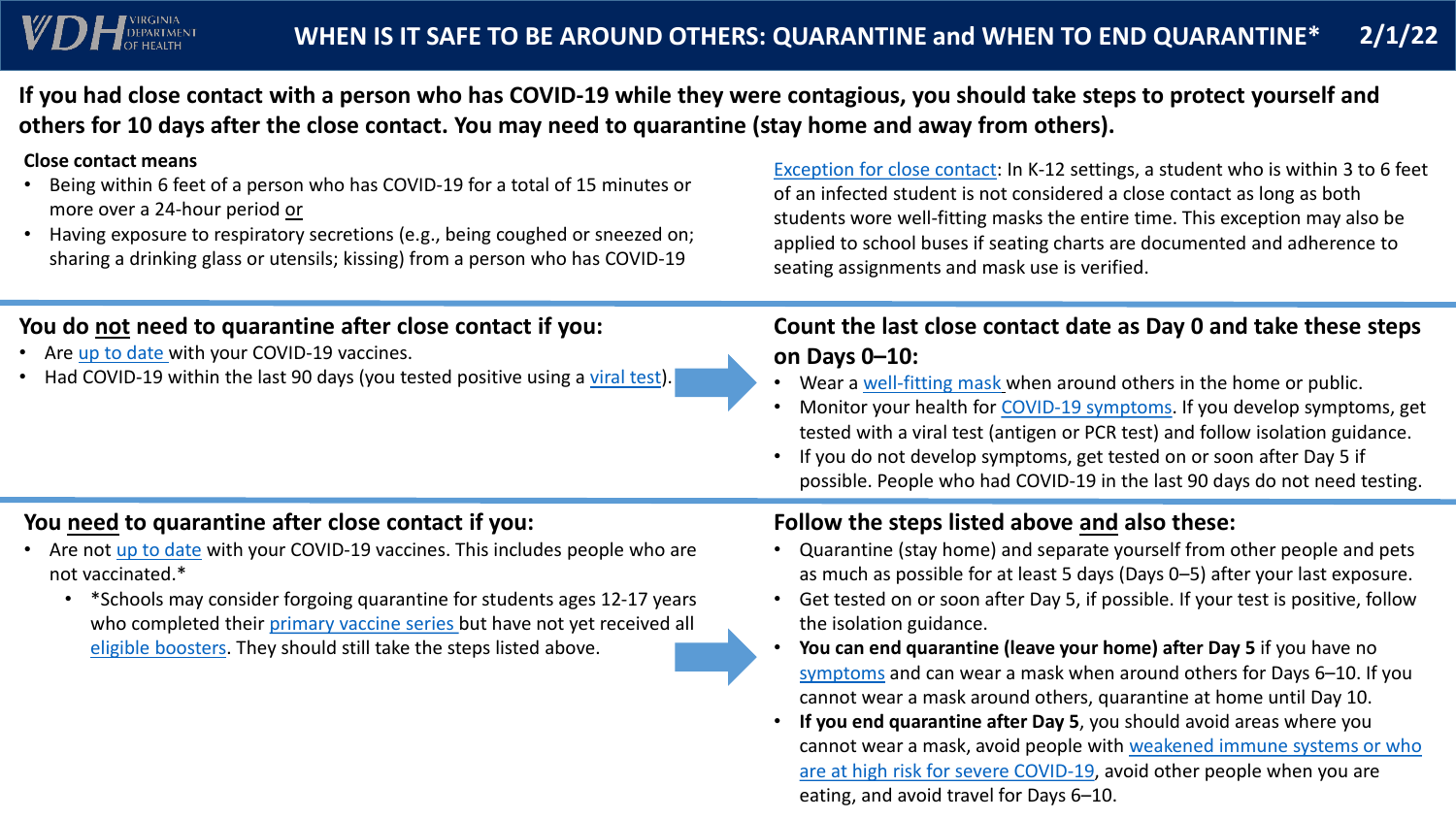## **WHEN IS IT SAFE TO BE AROUND OTHERS: QUARANTINE and WHEN TO END QUARANTINE\* 2/1/22**

**If you had close contact with a person who has COVID-19 while they were contagious, you should take steps to protect yourself and others for 10 days after the close contact. You may need to quarantine (stay home and away from others).**

#### **You do not need to quarantine after close contact if you:**

- Are [up to date](https://www.cdc.gov/coronavirus/2019-ncov/vaccines/stay-up-to-date.html) with your COVID-19 vaccines.
- Had COVID-19 within the last 90 days (you tested positive using a [viral test](https://www.cdc.gov/coronavirus/2019-ncov/symptoms-testing/testing.html)).

[Exception for close contact](https://www.vdh.virginia.gov/coronavirus/protect-yourself/local-exposure/#close-contact): In K-12 settings, a student who is within 3 to 6 feet of an infected student is not considered a close contact as long as both students wore well-fitting masks the entire time. This exception may also be applied to school buses if seating charts are documented and adherence to

Wear a [well-fitting mask](https://www.cdc.gov/coronavirus/2019-ncov/your-health/effective-masks.html) when around others in the home or public. Monitor your health for [COVID-19 symptoms.](https://www.cdc.gov/coronavirus/2019-ncov/symptoms-testing/symptoms.html) If you develop symptoms, get tested with a viral test (antigen or PCR test) and follow isolation guidance. • If you do not develop symptoms, get tested on or soon after Day 5 if possible. People who had COVID-19 in the last 90 days do not need testing.

# seating assignments and mask use is verified.

#### **Close contact means**

 $\sum$   $\sum$  DEPARTMEN

- Are not [up to date](https://www.cdc.gov/coronavirus/2019-ncov/vaccines/stay-up-to-date.html) with your COVID-19 vaccines. This includes people who are not vaccinated.\*
	- \*Schools may consider forgoing quarantine for students ages 12-17 years who completed their [primary vaccine series](https://www.cdc.gov/coronavirus/2019-ncov/vaccines/stay-up-to-date.html) but have not yet received all [eligible boosters](https://www.cdc.gov/coronavirus/2019-ncov/vaccines/stay-up-to-date.html). They should still take the steps listed above.
- Being within 6 feet of a person who has COVID-19 for a total of 15 minutes or more over a 24-hour period or
- Having exposure to respiratory secretions (e.g., being coughed or sneezed on; sharing a drinking glass or utensils; kissing) from a person who has COVID-19

• **You can end quarantine (leave your home) after Day 5** if you have no [symptoms](https://www.cdc.gov/coronavirus/2019-ncov/symptoms-testing/symptoms.html) and can wear a mask when around others for Days 6–10. If you cannot wear a mask around others, quarantine at home until Day 10. • **If you end quarantine after Day 5**, you should avoid areas where you [cannot wear a mask, avoid people with weakened immune systems or who](https://www.cdc.gov/coronavirus/2019-ncov/need-extra-precautions/people-with-medical-conditions.html) are at high risk for severe COVID-19, avoid other people when you are

## **Count the last close contact date as Day 0 and take these steps on Days 0–10:**

- 
- 
- 

#### **You need to quarantine after close contact if you:**

#### **Follow the steps listed above and also these:**

• Quarantine (stay home) and separate yourself from other people and pets as much as possible for at least 5 days (Days 0–5) after your last exposure. • Get tested on or soon after Day 5, if possible. If your test is positive, follow

- 
- the isolation guidance.
- 
- eating, and avoid travel for Days 6–10.